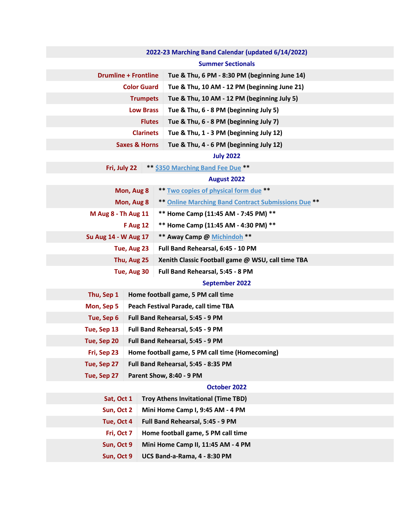| 2022-23 Marching Band Calendar (updated 6/14/2022) |                                                 |                                                     |  |  |
|----------------------------------------------------|-------------------------------------------------|-----------------------------------------------------|--|--|
| <b>Summer Sectionals</b>                           |                                                 |                                                     |  |  |
| <b>Drumline + Frontline</b>                        |                                                 | Tue & Thu, 6 PM - 8:30 PM (beginning June 14)       |  |  |
| <b>Color Guard</b>                                 |                                                 | Tue & Thu, 10 AM - 12 PM (beginning June 21)        |  |  |
| <b>Trumpets</b>                                    |                                                 | Tue & Thu, 10 AM - 12 PM (beginning July 5)         |  |  |
| <b>Low Brass</b>                                   |                                                 | Tue & Thu, 6 - 8 PM (beginning July 5)              |  |  |
| <b>Flutes</b>                                      |                                                 | Tue & Thu, 6 - 8 PM (beginning July 7)              |  |  |
| <b>Clarinets</b>                                   |                                                 | Tue & Thu, 1 - 3 PM (beginning July 12)             |  |  |
| <b>Saxes &amp; Horns</b>                           |                                                 | Tue & Thu, 4 - 6 PM (beginning July 12)             |  |  |
| <b>July 2022</b>                                   |                                                 |                                                     |  |  |
| Fri, July 22                                       |                                                 | ** \$350 Marching Band Fee Due **                   |  |  |
| <b>August 2022</b>                                 |                                                 |                                                     |  |  |
| Mon, Aug 8                                         |                                                 | ** Two copies of physical form due **               |  |  |
| Mon, Aug 8                                         |                                                 | ** Online Marching Band Contract Submissions Due ** |  |  |
| M Aug 8 - Th Aug 11                                |                                                 | ** Home Camp (11:45 AM - 7:45 PM) **                |  |  |
| <b>F</b> Aug 12                                    |                                                 | ** Home Camp (11:45 AM - 4:30 PM) **                |  |  |
| Su Aug 14 - W Aug 17                               |                                                 | ** Away Camp @ Michindoh **                         |  |  |
| Tue, Aug 23                                        |                                                 | Full Band Rehearsal, 6:45 - 10 PM                   |  |  |
| Thu, Aug 25                                        |                                                 | Xenith Classic Football game @ WSU, call time TBA   |  |  |
| Tue, Aug 30                                        |                                                 | Full Band Rehearsal, 5:45 - 8 PM                    |  |  |
| <b>September 2022</b>                              |                                                 |                                                     |  |  |
| Thu, Sep 1                                         |                                                 | Home football game, 5 PM call time                  |  |  |
| Mon, Sep 5                                         | Peach Festival Parade, call time TBA            |                                                     |  |  |
| Tue, Sep 6                                         | Full Band Rehearsal, 5:45 - 9 PM                |                                                     |  |  |
| Tue, Sep 13                                        | Full Band Rehearsal, 5:45 - 9 PM                |                                                     |  |  |
| Tue, Sep 20                                        | Full Band Rehearsal, 5:45 - 9 PM                |                                                     |  |  |
| Fri, Sep 23                                        | Home football game, 5 PM call time (Homecoming) |                                                     |  |  |
| Tue, Sep 27                                        | Full Band Rehearsal, 5:45 - 8:35 PM             |                                                     |  |  |
| Tue, Sep 27                                        | Parent Show, 8:40 - 9 PM                        |                                                     |  |  |
| October 2022                                       |                                                 |                                                     |  |  |
| Sat, Oct 1                                         |                                                 | <b>Troy Athens Invitational (Time TBD)</b>          |  |  |
| Sun, Oct 2                                         |                                                 | Mini Home Camp I, 9:45 AM - 4 PM                    |  |  |
| Tue, Oct 4                                         |                                                 | Full Band Rehearsal, 5:45 - 9 PM                    |  |  |
| Fri, Oct 7                                         |                                                 | Home football game, 5 PM call time                  |  |  |
| Sun, Oct 9                                         |                                                 | Mini Home Camp II, 11:45 AM - 4 PM                  |  |  |
| Sun, Oct 9                                         |                                                 | UCS Band-a-Rama, 4 - 8:30 PM                        |  |  |